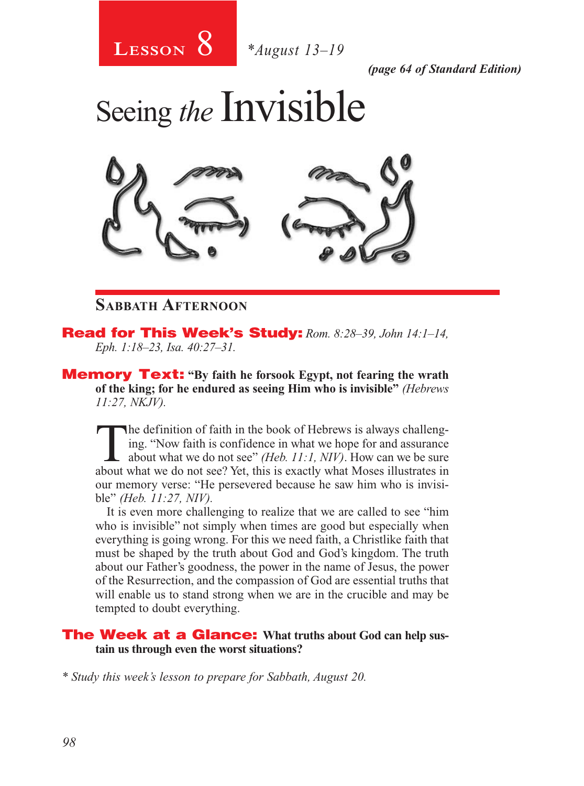

*(page 64 of Standard Edition)*

Seeing *the* Invisible



### **Sabbath Afternoon**

Read for This Week's Study: *Rom. 8:28–39, John 14:1–14, Eph. 1:18–23, Isa. 40:27–31.*

Memory Text: **"By faith he forsook Egypt, not fearing the wrath of the king; for he endured as seeing Him who is invisible"** *(Hebrews 11:27, NKJV).* 

The definition of faith in the book of Hebrews is always challeng-<br>ing. "Now faith is confidence in what we hope for and assurance<br>about what we do not see" *(Heb. 11:1, NIV)*. How can we be sure<br>about what we do not see? ing. "Now faith is confidence in what we hope for and assurance about what we do not see? Yet, this is exactly what Moses illustrates in our memory verse: "He persevered because he saw him who is invisible" *(Heb. 11:27, NIV).*

It is even more challenging to realize that we are called to see "him who is invisible" not simply when times are good but especially when everything is going wrong. For this we need faith, a Christlike faith that must be shaped by the truth about God and God's kingdom. The truth about our Father's goodness, the power in the name of Jesus, the power of the Resurrection, and the compassion of God are essential truths that will enable us to stand strong when we are in the crucible and may be tempted to doubt everything.

#### The Week at a Glance: **What truths about God can help sustain us through even the worst situations?**

*\* Study this week's lesson to prepare for Sabbath, August 20.*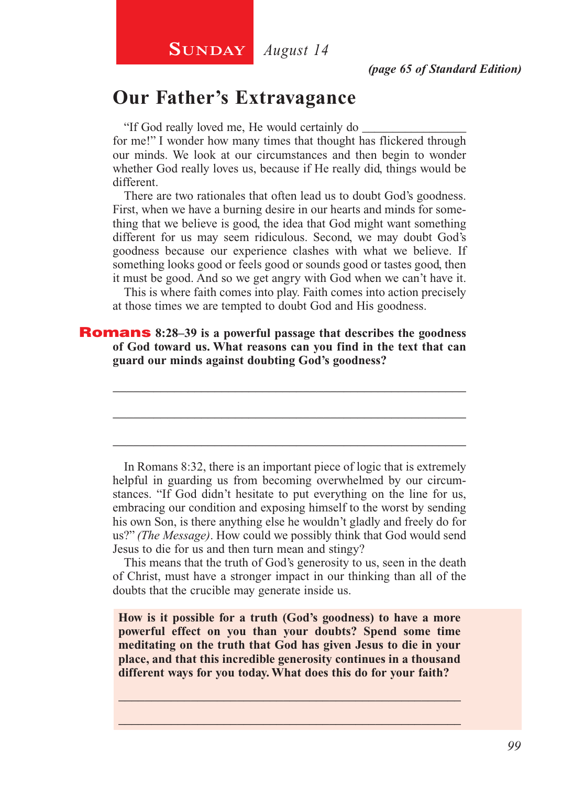# **Our Father's Extravagance**

"If God really loved me, He would certainly do \_\_\_\_\_\_\_\_\_\_\_\_\_\_\_\_\_

for me!" I wonder how many times that thought has flickered through our minds. We look at our circumstances and then begin to wonder whether God really loves us, because if He really did, things would be different.

There are two rationales that often lead us to doubt God's goodness. First, when we have a burning desire in our hearts and minds for something that we believe is good, the idea that God might want something different for us may seem ridiculous. Second, we may doubt God's goodness because our experience clashes with what we believe. If something looks good or feels good or sounds good or tastes good, then it must be good. And so we get angry with God when we can't have it.

This is where faith comes into play. Faith comes into action precisely at those times we are tempted to doubt God and His goodness.

\_\_\_\_\_\_\_\_\_\_\_\_\_\_\_\_\_\_\_\_\_\_\_\_\_\_\_\_\_\_\_\_\_\_\_\_\_\_\_\_\_\_\_\_\_\_\_\_\_\_\_\_

\_\_\_\_\_\_\_\_\_\_\_\_\_\_\_\_\_\_\_\_\_\_\_\_\_\_\_\_\_\_\_\_\_\_\_\_\_\_\_\_\_\_\_\_\_\_\_\_\_\_\_\_

\_\_\_\_\_\_\_\_\_\_\_\_\_\_\_\_\_\_\_\_\_\_\_\_\_\_\_\_\_\_\_\_\_\_\_\_\_\_\_\_\_\_\_\_\_\_\_\_\_\_\_\_

Romans **8:28–39 is a powerful passage that describes the goodness of God toward us. What reasons can you find in the text that can guard our minds against doubting God's goodness?**

In Romans 8:32, there is an important piece of logic that is extremely helpful in guarding us from becoming overwhelmed by our circumstances. "If God didn't hesitate to put everything on the line for us, embracing our condition and exposing himself to the worst by sending his own Son, is there anything else he wouldn't gladly and freely do for us?" *(The Message)*. How could we possibly think that God would send Jesus to die for us and then turn mean and stingy?

This means that the truth of God's generosity to us, seen in the death of Christ, must have a stronger impact in our thinking than all of the doubts that the crucible may generate inside us.

**How is it possible for a truth (God's goodness) to have a more powerful effect on you than your doubts? Spend some time meditating on the truth that God has given Jesus to die in your place, and that this incredible generosity continues in a thousand different ways for you today. What does this do for your faith?**

\_\_\_\_\_\_\_\_\_\_\_\_\_\_\_\_\_\_\_\_\_\_\_\_\_\_\_\_\_\_\_\_\_\_\_\_\_\_\_\_\_\_\_\_\_\_\_\_\_\_\_\_ \_\_\_\_\_\_\_\_\_\_\_\_\_\_\_\_\_\_\_\_\_\_\_\_\_\_\_\_\_\_\_\_\_\_\_\_\_\_\_\_\_\_\_\_\_\_\_\_\_\_\_\_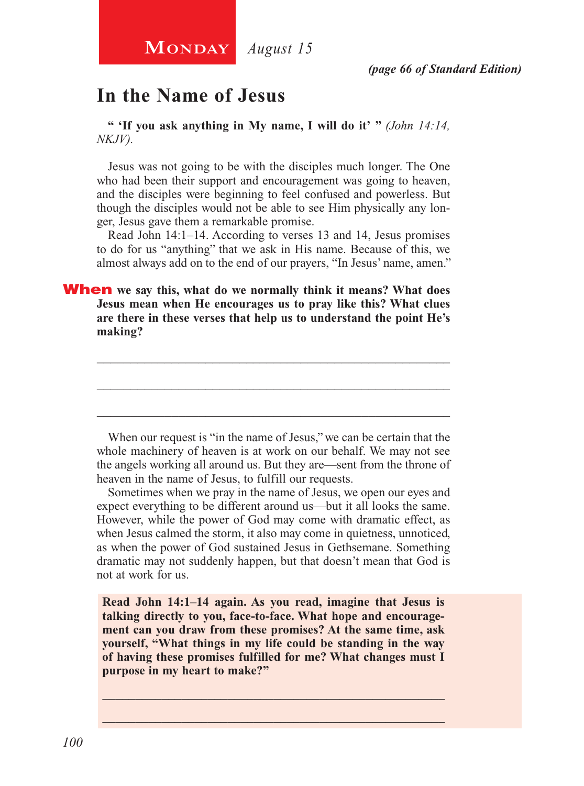# **In the Name of Jesus**

**" 'If you ask anything in My name, I will do it' "** *(John 14:14, NKJV).*

Jesus was not going to be with the disciples much longer. The One who had been their support and encouragement was going to heaven, and the disciples were beginning to feel confused and powerless. But though the disciples would not be able to see Him physically any longer, Jesus gave them a remarkable promise.

Read John 14:1–14. According to verses 13 and 14, Jesus promises to do for us "anything" that we ask in His name. Because of this, we almost always add on to the end of our prayers, "In Jesus' name, amen."

When **we say this, what do we normally think it means? What does Jesus mean when He encourages us to pray like this? What clues are there in these verses that help us to understand the point He's making?**

When our request is "in the name of Jesus," we can be certain that the whole machinery of heaven is at work on our behalf. We may not see the angels working all around us. But they are—sent from the throne of heaven in the name of Jesus, to fulfill our requests.

\_\_\_\_\_\_\_\_\_\_\_\_\_\_\_\_\_\_\_\_\_\_\_\_\_\_\_\_\_\_\_\_\_\_\_\_\_\_\_\_\_\_\_\_\_\_\_\_\_\_\_\_

\_\_\_\_\_\_\_\_\_\_\_\_\_\_\_\_\_\_\_\_\_\_\_\_\_\_\_\_\_\_\_\_\_\_\_\_\_\_\_\_\_\_\_\_\_\_\_\_\_\_\_\_

\_\_\_\_\_\_\_\_\_\_\_\_\_\_\_\_\_\_\_\_\_\_\_\_\_\_\_\_\_\_\_\_\_\_\_\_\_\_\_\_\_\_\_\_\_\_\_\_\_\_\_\_

Sometimes when we pray in the name of Jesus, we open our eyes and expect everything to be different around us—but it all looks the same. However, while the power of God may come with dramatic effect, as when Jesus calmed the storm, it also may come in quietness, unnoticed, as when the power of God sustained Jesus in Gethsemane. Something dramatic may not suddenly happen, but that doesn't mean that God is not at work for us.

**Read John 14:1–14 again. As you read, imagine that Jesus is talking directly to you, face-to-face. What hope and encouragement can you draw from these promises? At the same time, ask yourself, "What things in my life could be standing in the way of having these promises fulfilled for me? What changes must I purpose in my heart to make?"**

\_\_\_\_\_\_\_\_\_\_\_\_\_\_\_\_\_\_\_\_\_\_\_\_\_\_\_\_\_\_\_\_\_\_\_\_\_\_\_\_\_\_\_\_\_\_\_\_\_\_\_\_ \_\_\_\_\_\_\_\_\_\_\_\_\_\_\_\_\_\_\_\_\_\_\_\_\_\_\_\_\_\_\_\_\_\_\_\_\_\_\_\_\_\_\_\_\_\_\_\_\_\_\_\_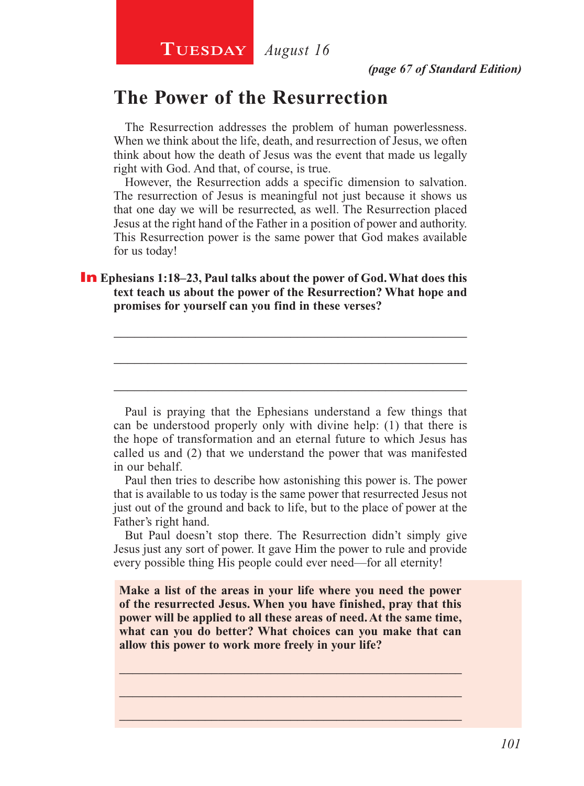# **The Power of the Resurrection**

The Resurrection addresses the problem of human powerlessness. When we think about the life, death, and resurrection of Jesus, we often think about how the death of Jesus was the event that made us legally right with God. And that, of course, is true.

However, the Resurrection adds a specific dimension to salvation. The resurrection of Jesus is meaningful not just because it shows us that one day we will be resurrected, as well. The Resurrection placed Jesus at the right hand of the Father in a position of power and authority. This Resurrection power is the same power that God makes available for us today!

#### **In** Ephesians 1:18–23, Paul talks about the power of God. What does this **text teach us about the power of the Resurrection? What hope and promises for yourself can you find in these verses?**

Paul is praying that the Ephesians understand a few things that can be understood properly only with divine help: (1) that there is the hope of transformation and an eternal future to which Jesus has called us and (2) that we understand the power that was manifested in our behalf.

\_\_\_\_\_\_\_\_\_\_\_\_\_\_\_\_\_\_\_\_\_\_\_\_\_\_\_\_\_\_\_\_\_\_\_\_\_\_\_\_\_\_\_\_\_\_\_\_\_\_\_\_

\_\_\_\_\_\_\_\_\_\_\_\_\_\_\_\_\_\_\_\_\_\_\_\_\_\_\_\_\_\_\_\_\_\_\_\_\_\_\_\_\_\_\_\_\_\_\_\_\_\_\_\_

\_\_\_\_\_\_\_\_\_\_\_\_\_\_\_\_\_\_\_\_\_\_\_\_\_\_\_\_\_\_\_\_\_\_\_\_\_\_\_\_\_\_\_\_\_\_\_\_\_\_\_\_

Paul then tries to describe how astonishing this power is. The power that is available to us today is the same power that resurrected Jesus not just out of the ground and back to life, but to the place of power at the Father's right hand.

But Paul doesn't stop there. The Resurrection didn't simply give Jesus just any sort of power. It gave Him the power to rule and provide every possible thing His people could ever need—for all eternity!

**Make a list of the areas in your life where you need the power of the resurrected Jesus. When you have finished, pray that this power will be applied to all these areas of need. At the same time, what can you do better? What choices can you make that can allow this power to work more freely in your life?**

\_\_\_\_\_\_\_\_\_\_\_\_\_\_\_\_\_\_\_\_\_\_\_\_\_\_\_\_\_\_\_\_\_\_\_\_\_\_\_\_\_\_\_\_\_\_\_\_\_\_\_\_ \_\_\_\_\_\_\_\_\_\_\_\_\_\_\_\_\_\_\_\_\_\_\_\_\_\_\_\_\_\_\_\_\_\_\_\_\_\_\_\_\_\_\_\_\_\_\_\_\_\_\_\_ \_\_\_\_\_\_\_\_\_\_\_\_\_\_\_\_\_\_\_\_\_\_\_\_\_\_\_\_\_\_\_\_\_\_\_\_\_\_\_\_\_\_\_\_\_\_\_\_\_\_\_\_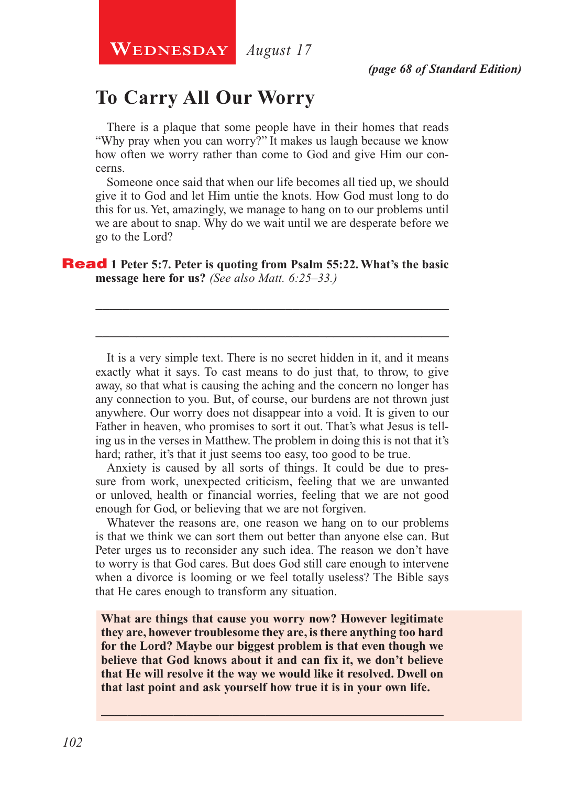# **To Carry All Our Worry**

There is a plaque that some people have in their homes that reads "Why pray when you can worry?" It makes us laugh because we know how often we worry rather than come to God and give Him our concerns.

Someone once said that when our life becomes all tied up, we should give it to God and let Him untie the knots. How God must long to do this for us. Yet, amazingly, we manage to hang on to our problems until we are about to snap. Why do we wait until we are desperate before we go to the Lord?

\_\_\_\_\_\_\_\_\_\_\_\_\_\_\_\_\_\_\_\_\_\_\_\_\_\_\_\_\_\_\_\_\_\_\_\_\_\_\_\_\_\_\_\_\_\_\_\_\_\_\_\_

\_\_\_\_\_\_\_\_\_\_\_\_\_\_\_\_\_\_\_\_\_\_\_\_\_\_\_\_\_\_\_\_\_\_\_\_\_\_\_\_\_\_\_\_\_\_\_\_\_\_\_\_

#### Read **1 Peter 5:7. Peter is quoting from Psalm 55:22. What's the basic message here for us?** *(See also Matt. 6:25–33.)*

It is a very simple text. There is no secret hidden in it, and it means exactly what it says. To cast means to do just that, to throw, to give away, so that what is causing the aching and the concern no longer has any connection to you. But, of course, our burdens are not thrown just anywhere. Our worry does not disappear into a void. It is given to our Father in heaven, who promises to sort it out. That's what Jesus is telling us in the verses in Matthew. The problem in doing this is not that it's hard; rather, it's that it just seems too easy, too good to be true.

Anxiety is caused by all sorts of things. It could be due to pressure from work, unexpected criticism, feeling that we are unwanted or unloved, health or financial worries, feeling that we are not good enough for God, or believing that we are not forgiven.

Whatever the reasons are, one reason we hang on to our problems is that we think we can sort them out better than anyone else can. But Peter urges us to reconsider any such idea. The reason we don't have to worry is that God cares. But does God still care enough to intervene when a divorce is looming or we feel totally useless? The Bible says that He cares enough to transform any situation.

**What are things that cause you worry now? However legitimate they are, however troublesome they are, is there anything too hard for the Lord? Maybe our biggest problem is that even though we believe that God knows about it and can fix it, we don't believe that He will resolve it the way we would like it resolved. Dwell on that last point and ask yourself how true it is in your own life.** 

\_\_\_\_\_\_\_\_\_\_\_\_\_\_\_\_\_\_\_\_\_\_\_\_\_\_\_\_\_\_\_\_\_\_\_\_\_\_\_\_\_\_\_\_\_\_\_\_\_\_\_\_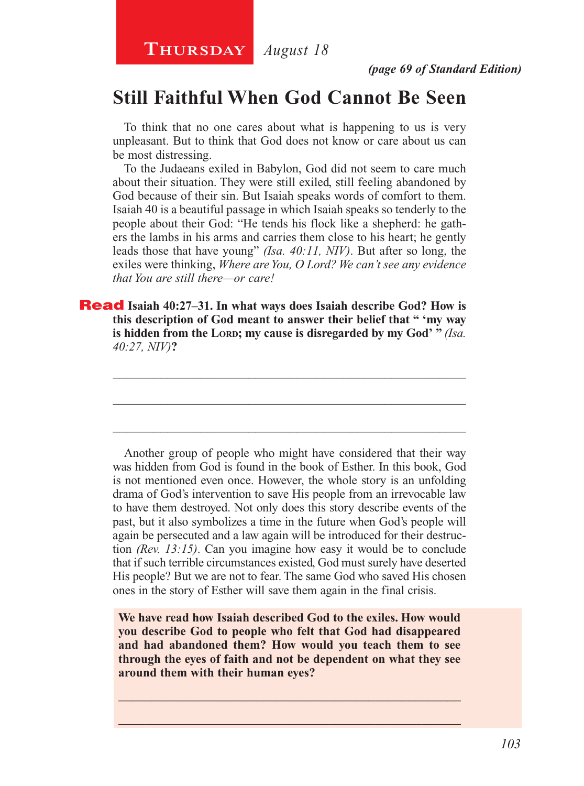**Thursday** *August 18*

# **Still Faithful When God Cannot Be Seen**

To think that no one cares about what is happening to us is very unpleasant. But to think that God does not know or care about us can be most distressing.

To the Judaeans exiled in Babylon, God did not seem to care much about their situation. They were still exiled, still feeling abandoned by God because of their sin. But Isaiah speaks words of comfort to them. Isaiah 40 is a beautiful passage in which Isaiah speaks so tenderly to the people about their God: "He tends his flock like a shepherd: he gathers the lambs in his arms and carries them close to his heart; he gently leads those that have young" *(Isa. 40:11, NIV)*. But after so long, the exiles were thinking, *Where are You, O Lord? We can't see any evidence that You are still there—or care!*

Read **Isaiah 40:27–31. In what ways does Isaiah describe God? How is this description of God meant to answer their belief that " 'my way is hidden from the LORD; my cause is disregarded by my God' " (Isa.** *40:27, NIV)***?**

\_\_\_\_\_\_\_\_\_\_\_\_\_\_\_\_\_\_\_\_\_\_\_\_\_\_\_\_\_\_\_\_\_\_\_\_\_\_\_\_\_\_\_\_\_\_\_\_\_\_\_\_

\_\_\_\_\_\_\_\_\_\_\_\_\_\_\_\_\_\_\_\_\_\_\_\_\_\_\_\_\_\_\_\_\_\_\_\_\_\_\_\_\_\_\_\_\_\_\_\_\_\_\_\_

\_\_\_\_\_\_\_\_\_\_\_\_\_\_\_\_\_\_\_\_\_\_\_\_\_\_\_\_\_\_\_\_\_\_\_\_\_\_\_\_\_\_\_\_\_\_\_\_\_\_\_\_

Another group of people who might have considered that their way was hidden from God is found in the book of Esther. In this book, God is not mentioned even once. However, the whole story is an unfolding drama of God's intervention to save His people from an irrevocable law to have them destroyed. Not only does this story describe events of the past, but it also symbolizes a time in the future when God's people will again be persecuted and a law again will be introduced for their destruction *(Rev. 13:15)*. Can you imagine how easy it would be to conclude that if such terrible circumstances existed, God must surely have deserted His people? But we are not to fear. The same God who saved His chosen ones in the story of Esther will save them again in the final crisis.

**We have read how Isaiah described God to the exiles. How would you describe God to people who felt that God had disappeared and had abandoned them? How would you teach them to see through the eyes of faith and not be dependent on what they see around them with their human eyes?**

\_\_\_\_\_\_\_\_\_\_\_\_\_\_\_\_\_\_\_\_\_\_\_\_\_\_\_\_\_\_\_\_\_\_\_\_\_\_\_\_\_\_\_\_\_\_\_\_\_\_\_\_ \_\_\_\_\_\_\_\_\_\_\_\_\_\_\_\_\_\_\_\_\_\_\_\_\_\_\_\_\_\_\_\_\_\_\_\_\_\_\_\_\_\_\_\_\_\_\_\_\_\_\_\_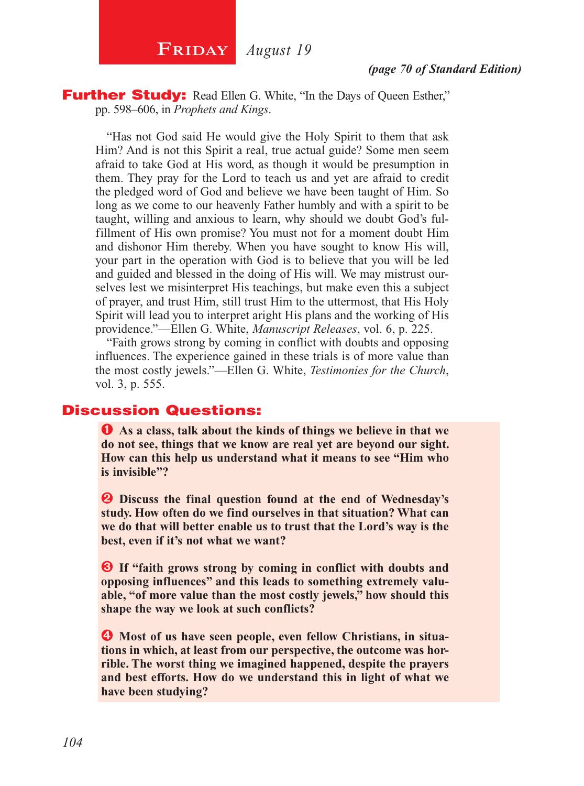

**Further Study:** Read Ellen G. White, "In the Days of Queen Esther," pp. 598–606, in *Prophets and Kings*.

"Has not God said He would give the Holy Spirit to them that ask Him? And is not this Spirit a real, true actual guide? Some men seem afraid to take God at His word, as though it would be presumption in them. They pray for the Lord to teach us and yet are afraid to credit the pledged word of God and believe we have been taught of Him. So long as we come to our heavenly Father humbly and with a spirit to be taught, willing and anxious to learn, why should we doubt God's fulfillment of His own promise? You must not for a moment doubt Him and dishonor Him thereby. When you have sought to know His will, your part in the operation with God is to believe that you will be led and guided and blessed in the doing of His will. We may mistrust ourselves lest we misinterpret His teachings, but make even this a subject of prayer, and trust Him, still trust Him to the uttermost, that His Holy Spirit will lead you to interpret aright His plans and the working of His providence."—Ellen G. White, *Manuscript Releases*, vol. 6, p. 225.

"Faith grows strong by coming in conflict with doubts and opposing influences. The experience gained in these trials is of more value than the most costly jewels."—Ellen G. White, *Testimonies for the Church*, vol. 3, p. 555.

#### Discussion Questions:

Ê **As a class, talk about the kinds of things we believe in that we do not see, things that we know are real yet are beyond our sight. How can this help us understand what it means to see "Him who is invisible"?**

 $\bullet$  Discuss the final question found at the end of Wednesday's **study. How often do we find ourselves in that situation? What can we do that will better enable us to trust that the Lord's way is the best, even if it's not what we want?**

 $\Theta$  If "faith grows strong by coming in conflict with doubts and **opposing influences" and this leads to something extremely valuable, "of more value than the most costly jewels," how should this shape the way we look at such conflicts?**

 $\bullet$  Most of us have seen people, even fellow Christians, in situa**tions in which, at least from our perspective, the outcome was horrible. The worst thing we imagined happened, despite the prayers and best efforts. How do we understand this in light of what we have been studying?**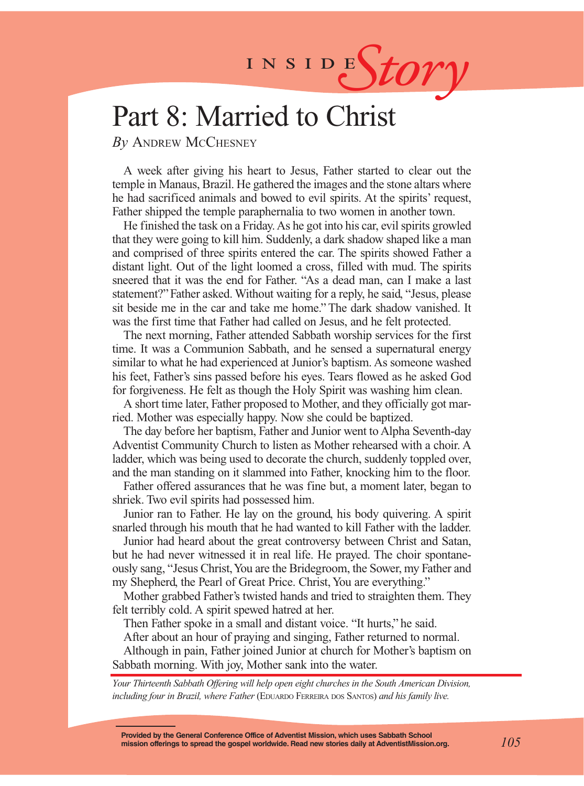# INSIDES*tory*

# Part 8: Married to Christ

*By* Andrew McChesney

A week after giving his heart to Jesus, Father started to clear out the temple in Manaus, Brazil. He gathered the images and the stone altars where he had sacrificed animals and bowed to evil spirits. At the spirits' request, Father shipped the temple paraphernalia to two women in another town.

He finished the task on a Friday. As he got into his car, evil spirits growled that they were going to kill him. Suddenly, a dark shadow shaped like a man and comprised of three spirits entered the car. The spirits showed Father a distant light. Out of the light loomed a cross, filled with mud. The spirits sneered that it was the end for Father. "As a dead man, can I make a last statement?" Father asked. Without waiting for a reply, he said, "Jesus, please sit beside me in the car and take me home." The dark shadow vanished. It was the first time that Father had called on Jesus, and he felt protected.

The next morning, Father attended Sabbath worship services for the first time. It was a Communion Sabbath, and he sensed a supernatural energy similar to what he had experienced at Junior's baptism. As someone washed his feet, Father's sins passed before his eyes. Tears flowed as he asked God for forgiveness. He felt as though the Holy Spirit was washing him clean.

A short time later, Father proposed to Mother, and they officially got married. Mother was especially happy. Now she could be baptized.

The day before her baptism, Father and Junior went to Alpha Seventh-day Adventist Community Church to listen as Mother rehearsed with a choir. A ladder, which was being used to decorate the church, suddenly toppled over, and the man standing on it slammed into Father, knocking him to the floor.

Father offered assurances that he was fine but, a moment later, began to shriek. Two evil spirits had possessed him.

Junior ran to Father. He lay on the ground, his body quivering. A spirit snarled through his mouth that he had wanted to kill Father with the ladder.

Junior had heard about the great controversy between Christ and Satan, but he had never witnessed it in real life. He prayed. The choir spontaneously sang, "Jesus Christ, You are the Bridegroom, the Sower, my Father and my Shepherd, the Pearl of Great Price. Christ, You are everything."

Mother grabbed Father's twisted hands and tried to straighten them. They felt terribly cold. A spirit spewed hatred at her.

Then Father spoke in a small and distant voice. "It hurts," he said.

After about an hour of praying and singing, Father returned to normal.

Although in pain, Father joined Junior at church for Mother's baptism on Sabbath morning. With joy, Mother sank into the water.

*Your Thirteenth Sabbath Offering will help open eight churches in the South American Division, including four in Brazil, where Father* (EDUARDO FERREIRA DOS SANTOS) and his family live.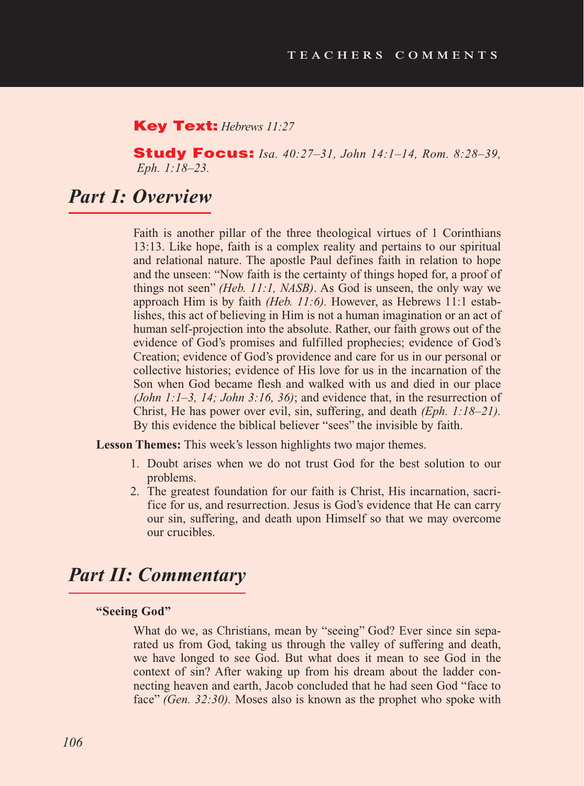#### Key Text: *Hebrews 11:27*

Study Focus: *Isa. 40:27–31, John 14:1–14, Rom. 8:28–39, Eph. 1:18–23.*

# *Part I: Overview*

Faith is another pillar of the three theological virtues of 1 Corinthians 13:13. Like hope, faith is a complex reality and pertains to our spiritual and relational nature. The apostle Paul defines faith in relation to hope and the unseen: "Now faith is the certainty of things hoped for, a proof of things not seen" *(Heb. 11:1, NASB)*. As God is unseen, the only way we approach Him is by faith *(Heb. 11:6).* However, as Hebrews 11:1 establishes, this act of believing in Him is not a human imagination or an act of human self-projection into the absolute. Rather, our faith grows out of the evidence of God's promises and fulfilled prophecies; evidence of God's Creation; evidence of God's providence and care for us in our personal or collective histories; evidence of His love for us in the incarnation of the Son when God became flesh and walked with us and died in our place *(John 1:1–3, 14; John 3:16, 36)*; and evidence that, in the resurrection of Christ, He has power over evil, sin, suffering, and death *(Eph. 1:18–21).*  By this evidence the biblical believer "sees" the invisible by faith.

**Lesson Themes:** This week's lesson highlights two major themes.

- 1. Doubt arises when we do not trust God for the best solution to our problems.
- 2. The greatest foundation for our faith is Christ, His incarnation, sacrifice for us, and resurrection. Jesus is God's evidence that He can carry our sin, suffering, and death upon Himself so that we may overcome our crucibles.

# *Part II: Commentary*

#### **"Seeing God"**

What do we, as Christians, mean by "seeing" God? Ever since sin separated us from God, taking us through the valley of suffering and death, we have longed to see God. But what does it mean to see God in the context of sin? After waking up from his dream about the ladder connecting heaven and earth, Jacob concluded that he had seen God "face to face" *(Gen. 32:30).* Moses also is known as the prophet who spoke with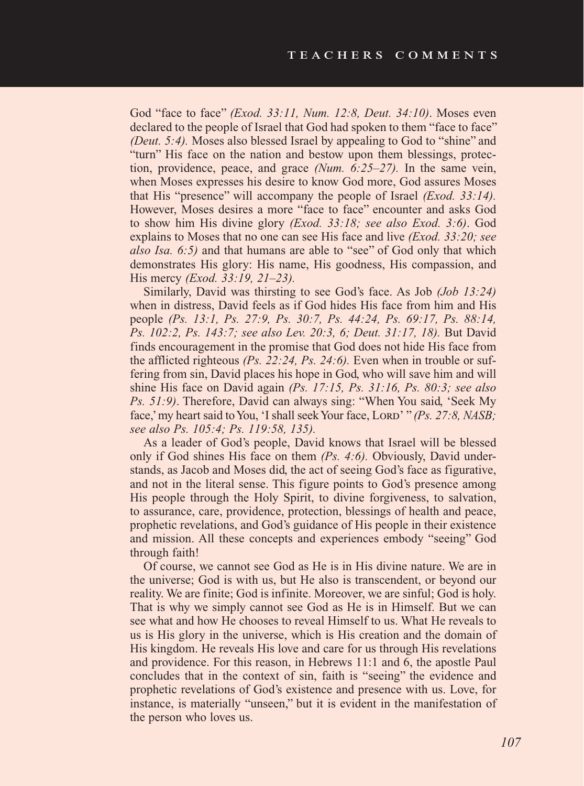God "face to face" *(Exod. 33:11, Num. 12:8, Deut. 34:10)*. Moses even declared to the people of Israel that God had spoken to them "face to face" *(Deut. 5:4).* Moses also blessed Israel by appealing to God to "shine" and "turn" His face on the nation and bestow upon them blessings, protection, providence, peace, and grace *(Num. 6:25–27).* In the same vein, when Moses expresses his desire to know God more, God assures Moses that His "presence" will accompany the people of Israel *(Exod. 33:14).* However, Moses desires a more "face to face" encounter and asks God to show him His divine glory *(Exod. 33:18; see also Exod. 3:6)*. God explains to Moses that no one can see His face and live *(Exod. 33:20; see also Isa. 6:5)* and that humans are able to "see" of God only that which demonstrates His glory: His name, His goodness, His compassion, and His mercy *(Exod. 33:19, 21–23).*

Similarly, David was thirsting to see God's face. As Job *(Job 13:24)*  when in distress, David feels as if God hides His face from him and His people *(Ps. 13:1, Ps. 27:9, Ps. 30:7, Ps. 44:24, Ps. 69:17, Ps. 88:14, Ps. 102:2, Ps. 143:7; see also Lev. 20:3, 6; Deut. 31:17, 18).* But David finds encouragement in the promise that God does not hide His face from the afflicted righteous *(Ps. 22:24, Ps. 24:6).* Even when in trouble or suffering from sin, David places his hope in God, who will save him and will shine His face on David again *(Ps. 17:15, Ps. 31:16, Ps. 80:3; see also Ps. 51:9)*. Therefore, David can always sing: "When You said, 'Seek My face,' my heart said to You, 'I shall seek Your face, Lord' " *(Ps. 27:8, NASB*; *see also Ps. 105:4; Ps. 119:58, 135).* 

As a leader of God's people, David knows that Israel will be blessed only if God shines His face on them *(Ps. 4:6).* Obviously, David understands, as Jacob and Moses did, the act of seeing God's face as figurative, and not in the literal sense. This figure points to God's presence among His people through the Holy Spirit, to divine forgiveness, to salvation, to assurance, care, providence, protection, blessings of health and peace, prophetic revelations, and God's guidance of His people in their existence and mission. All these concepts and experiences embody "seeing" God through faith!

Of course, we cannot see God as He is in His divine nature. We are in the universe; God is with us, but He also is transcendent, or beyond our reality. We are finite; God is infinite. Moreover, we are sinful; God is holy. That is why we simply cannot see God as He is in Himself. But we can see what and how He chooses to reveal Himself to us. What He reveals to us is His glory in the universe, which is His creation and the domain of His kingdom. He reveals His love and care for us through His revelations and providence. For this reason, in Hebrews 11:1 and 6, the apostle Paul concludes that in the context of sin, faith is "seeing" the evidence and prophetic revelations of God's existence and presence with us. Love, for instance, is materially "unseen," but it is evident in the manifestation of the person who loves us.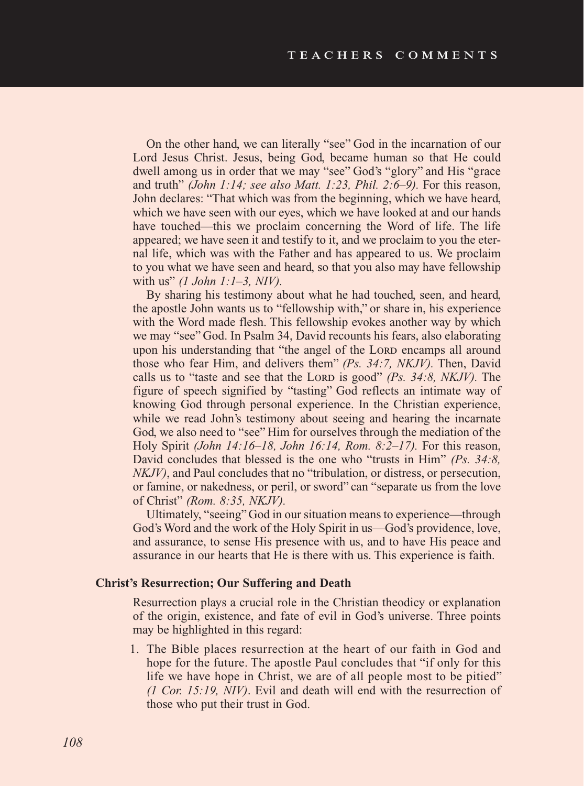On the other hand, we can literally "see" God in the incarnation of our Lord Jesus Christ. Jesus, being God, became human so that He could dwell among us in order that we may "see" God's "glory" and His "grace and truth" *(John 1:14; see also Matt. 1:23, Phil. 2:6–9).* For this reason, John declares: "That which was from the beginning, which we have heard, which we have seen with our eyes, which we have looked at and our hands have touched—this we proclaim concerning the Word of life. The life appeared; we have seen it and testify to it, and we proclaim to you the eternal life, which was with the Father and has appeared to us. We proclaim to you what we have seen and heard, so that you also may have fellowship with us" *(1 John 1:1–3, NIV).* 

By sharing his testimony about what he had touched, seen, and heard, the apostle John wants us to "fellowship with," or share in, his experience with the Word made flesh. This fellowship evokes another way by which we may "see" God. In Psalm 34, David recounts his fears, also elaborating upon his understanding that "the angel of the LORD encamps all around those who fear Him, and delivers them" *(Ps. 34:7, NKJV).* Then, David calls us to "taste and see that the Lord is good" (Ps. 34:8, NKJV). The figure of speech signified by "tasting" God reflects an intimate way of knowing God through personal experience. In the Christian experience, while we read John's testimony about seeing and hearing the incarnate God, we also need to "see" Him for ourselves through the mediation of the Holy Spirit *(John 14:16–18, John 16:14, Rom. 8:2–17).* For this reason, David concludes that blessed is the one who "trusts in Him" *(Ps. 34:8, NKJV)*, and Paul concludes that no "tribulation, or distress, or persecution, or famine, or nakedness, or peril, or sword" can "separate us from the love of Christ" *(Rom. 8:35, NKJV).*

Ultimately, "seeing" God in our situation means to experience—through God's Word and the work of the Holy Spirit in us—God's providence, love, and assurance, to sense His presence with us, and to have His peace and assurance in our hearts that He is there with us. This experience is faith.

#### **Christ's Resurrection; Our Suffering and Death**

Resurrection plays a crucial role in the Christian theodicy or explanation of the origin, existence, and fate of evil in God's universe. Three points may be highlighted in this regard:

1. The Bible places resurrection at the heart of our faith in God and hope for the future. The apostle Paul concludes that "if only for this life we have hope in Christ, we are of all people most to be pitied" *(1 Cor. 15:19, NIV)*. Evil and death will end with the resurrection of those who put their trust in God.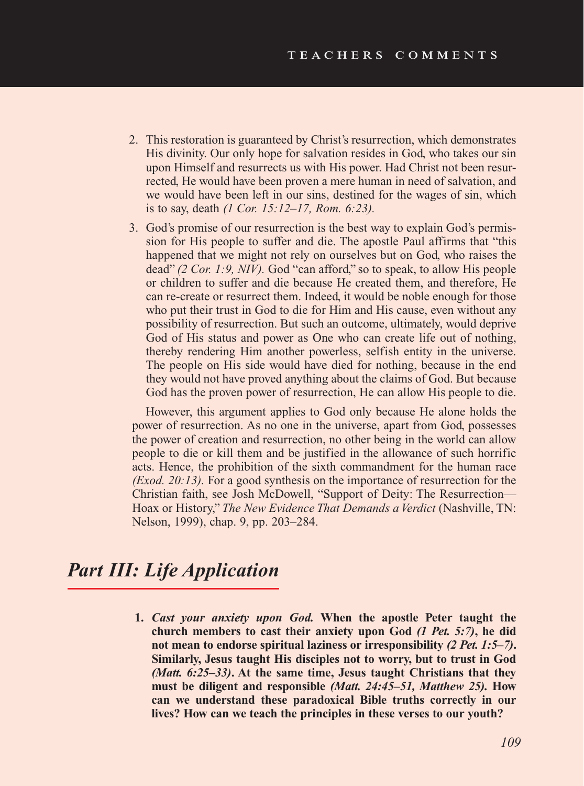- 2. This restoration is guaranteed by Christ's resurrection, which demonstrates His divinity. Our only hope for salvation resides in God, who takes our sin upon Himself and resurrects us with His power. Had Christ not been resurrected, He would have been proven a mere human in need of salvation, and we would have been left in our sins, destined for the wages of sin, which is to say, death *(1 Cor. 15:12–17, Rom. 6:23).*
- 3. God's promise of our resurrection is the best way to explain God's permission for His people to suffer and die. The apostle Paul affirms that "this happened that we might not rely on ourselves but on God, who raises the dead" *(2 Cor. 1:9, NIV).* God "can afford," so to speak, to allow His people or children to suffer and die because He created them, and therefore, He can re-create or resurrect them. Indeed, it would be noble enough for those who put their trust in God to die for Him and His cause, even without any possibility of resurrection. But such an outcome, ultimately, would deprive God of His status and power as One who can create life out of nothing, thereby rendering Him another powerless, selfish entity in the universe. The people on His side would have died for nothing, because in the end they would not have proved anything about the claims of God. But because God has the proven power of resurrection, He can allow His people to die.

However, this argument applies to God only because He alone holds the power of resurrection. As no one in the universe, apart from God, possesses the power of creation and resurrection, no other being in the world can allow people to die or kill them and be justified in the allowance of such horrific acts. Hence, the prohibition of the sixth commandment for the human race *(Exod. 20:13).* For a good synthesis on the importance of resurrection for the Christian faith, see Josh McDowell, "Support of Deity: The Resurrection— Hoax or History," *The New Evidence That Demands a Verdict* (Nashville, TN: Nelson, 1999), chap. 9, pp. 203–284.

# *Part III: Life Application*

**1.** *Cast your anxiety upon God.* **When the apostle Peter taught the church members to cast their anxiety upon God** *(1 Pet. 5:7)***, he did not mean to endorse spiritual laziness or irresponsibility** *(2 Pet. 1:5–7)***. Similarly, Jesus taught His disciples not to worry, but to trust in God** *(Matt. 6:25–33)***. At the same time, Jesus taught Christians that they must be diligent and responsible** *(Matt. 24:45–51, Matthew 25).* **How can we understand these paradoxical Bible truths correctly in our lives? How can we teach the principles in these verses to our youth?**